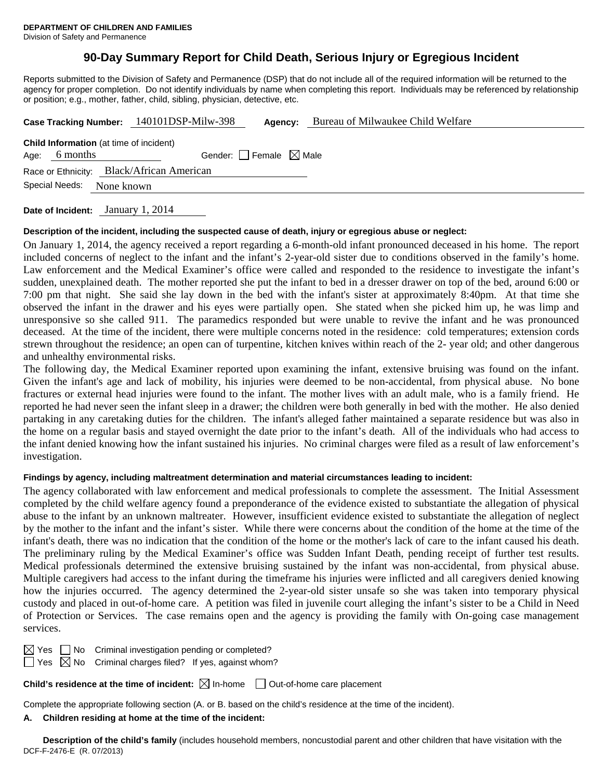## **90-Day Summary Report for Child Death, Serious Injury or Egregious Incident**

Reports submitted to the Division of Safety and Permanence (DSP) that do not include all of the required information will be returned to the agency for proper completion. Do not identify individuals by name when completing this report. Individuals may be referenced by relationship or position; e.g., mother, father, child, sibling, physician, detective, etc.

|                                                                                                       |  | Case Tracking Number: 140101DSP-Milw-398 | Agency: | Bureau of Milwaukee Child Welfare |  |  |  |  |  |
|-------------------------------------------------------------------------------------------------------|--|------------------------------------------|---------|-----------------------------------|--|--|--|--|--|
| <b>Child Information</b> (at time of incident)<br>Gender: Female $\boxtimes$ Male<br>6 months<br>Age: |  |                                          |         |                                   |  |  |  |  |  |
| Race or Ethnicity: Black/African American                                                             |  |                                          |         |                                   |  |  |  |  |  |
| Special Needs:<br>None known                                                                          |  |                                          |         |                                   |  |  |  |  |  |

**Date of Incident:** January 1, 2014

### **Description of the incident, including the suspected cause of death, injury or egregious abuse or neglect:**

On January 1, 2014, the agency received a report regarding a 6-month-old infant pronounced deceased in his home. The report included concerns of neglect to the infant and the infant's 2-year-old sister due to conditions observed in the family's home. Law enforcement and the Medical Examiner's office were called and responded to the residence to investigate the infant's sudden, unexplained death. The mother reported she put the infant to bed in a dresser drawer on top of the bed, around 6:00 or 7:00 pm that night. She said she lay down in the bed with the infant's sister at approximately 8:40pm. At that time she observed the infant in the drawer and his eyes were partially open. She stated when she picked him up, he was limp and unresponsive so she called 911. The paramedics responded but were unable to revive the infant and he was pronounced deceased. At the time of the incident, there were multiple concerns noted in the residence: cold temperatures; extension cords strewn throughout the residence; an open can of turpentine, kitchen knives within reach of the 2- year old; and other dangerous and unhealthy environmental risks.

The following day, the Medical Examiner reported upon examining the infant, extensive bruising was found on the infant. Given the infant's age and lack of mobility, his injuries were deemed to be non-accidental, from physical abuse. No bone fractures or external head injuries were found to the infant. The mother lives with an adult male, who is a family friend. He reported he had never seen the infant sleep in a drawer; the children were both generally in bed with the mother. He also denied partaking in any caretaking duties for the children. The infant's alleged father maintained a separate residence but was also in the home on a regular basis and stayed overnight the date prior to the infant's death. All of the individuals who had access to the infant denied knowing how the infant sustained his injuries. No criminal charges were filed as a result of law enforcement's investigation.

### **Findings by agency, including maltreatment determination and material circumstances leading to incident:**

The agency collaborated with law enforcement and medical professionals to complete the assessment. The Initial Assessment completed by the child welfare agency found a preponderance of the evidence existed to substantiate the allegation of physical abuse to the infant by an unknown maltreater. However, insufficient evidence existed to substantiate the allegation of neglect by the mother to the infant and the infant's sister. While there were concerns about the condition of the home at the time of the infant's death, there was no indication that the condition of the home or the mother's lack of care to the infant caused his death. The preliminary ruling by the Medical Examiner's office was Sudden Infant Death, pending receipt of further test results. Medical professionals determined the extensive bruising sustained by the infant was non-accidental, from physical abuse. Multiple caregivers had access to the infant during the timeframe his injuries were inflicted and all caregivers denied knowing how the injuries occurred. The agency determined the 2-year-old sister unsafe so she was taken into temporary physical custody and placed in out-of-home care. A petition was filed in juvenile court alleging the infant's sister to be a Child in Need of Protection or Services. The case remains open and the agency is providing the family with On-going case management services.

 $\boxtimes$  Yes  $\Box$  No Criminal investigation pending or completed?

 $\Box$  Yes  $\boxtimes$  No Criminal charges filed? If yes, against whom?

**Child's residence at the time of incident:**  $\boxtimes$  In-home  $\Box$  Out-of-home care placement

Complete the appropriate following section (A. or B. based on the child's residence at the time of the incident).

## **A. Children residing at home at the time of the incident:**

DCF-F-2476-E (R. 07/2013) **Description of the child's family** (includes household members, noncustodial parent and other children that have visitation with the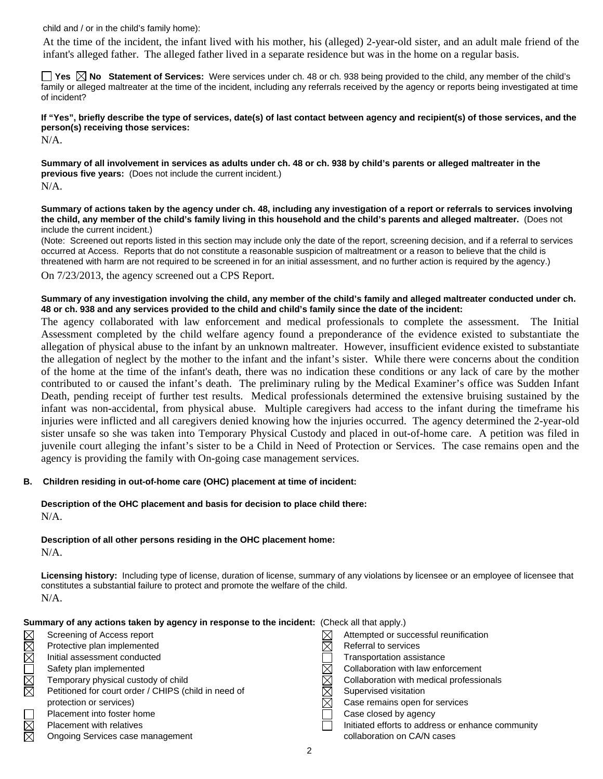child and / or in the child's family home):

 At the time of the incident, the infant lived with his mother, his (alleged) 2-year-old sister, and an adult male friend of the infant's alleged father. The alleged father lived in a separate residence but was in the home on a regular basis.

■ Yes **No** Statement of Services: Were services under ch. 48 or ch. 938 being provided to the child, any member of the child's family or alleged maltreater at the time of the incident, including any referrals received by the agency or reports being investigated at time of incident?

**If "Yes", briefly describe the type of services, date(s) of last contact between agency and recipient(s) of those services, and the person(s) receiving those services:** 

N/A.

**Summary of all involvement in services as adults under ch. 48 or ch. 938 by child's parents or alleged maltreater in the previous five years:** (Does not include the current incident.) N/A.

**Summary of actions taken by the agency under ch. 48, including any investigation of a report or referrals to services involving the child, any member of the child's family living in this household and the child's parents and alleged maltreater.** (Does not include the current incident.)

(Note: Screened out reports listed in this section may include only the date of the report, screening decision, and if a referral to services occurred at Access. Reports that do not constitute a reasonable suspicion of maltreatment or a reason to believe that the child is threatened with harm are not required to be screened in for an initial assessment, and no further action is required by the agency.)

On 7/23/2013, the agency screened out a CPS Report.

### **Summary of any investigation involving the child, any member of the child's family and alleged maltreater conducted under ch. 48 or ch. 938 and any services provided to the child and child's family since the date of the incident:**

The agency collaborated with law enforcement and medical professionals to complete the assessment. The Initial Assessment completed by the child welfare agency found a preponderance of the evidence existed to substantiate the allegation of physical abuse to the infant by an unknown maltreater. However, insufficient evidence existed to substantiate the allegation of neglect by the mother to the infant and the infant's sister. While there were concerns about the condition of the home at the time of the infant's death, there was no indication these conditions or any lack of care by the mother contributed to or caused the infant's death. The preliminary ruling by the Medical Examiner's office was Sudden Infant Death, pending receipt of further test results. Medical professionals determined the extensive bruising sustained by the infant was non-accidental, from physical abuse. Multiple caregivers had access to the infant during the timeframe his injuries were inflicted and all caregivers denied knowing how the injuries occurred. The agency determined the 2-year-old sister unsafe so she was taken into Temporary Physical Custody and placed in out-of-home care. A petition was filed in juvenile court alleging the infant's sister to be a Child in Need of Protection or Services. The case remains open and the agency is providing the family with On-going case management services.

### **B. Children residing in out-of-home care (OHC) placement at time of incident:**

# **Description of the OHC placement and basis for decision to place child there:**

N/A.

## **Description of all other persons residing in the OHC placement home:**

N/A.

**Licensing history:** Including type of license, duration of license, summary of any violations by licensee or an employee of licensee that constitutes a substantial failure to protect and promote the welfare of the child. N/A.

|             | Summary of any actions taken by agency in response to the incident: (Check all that apply.) |                                                   |
|-------------|---------------------------------------------------------------------------------------------|---------------------------------------------------|
|             | Screening of Access report                                                                  | Attempted or successful reunification             |
| MMOMMM      | Protective plan implemented                                                                 | Referral to services                              |
|             | Initial assessment conducted                                                                | <b>Transportation assistance</b>                  |
|             | Safety plan implemented                                                                     | Collaboration with law enforcement                |
|             | Temporary physical custody of child                                                         | Collaboration with medical professionals          |
|             | Petitioned for court order / CHIPS (child in need of                                        | Supervised visitation                             |
|             | protection or services)                                                                     | Case remains open for services                    |
|             | Placement into foster home                                                                  | Case closed by agency                             |
|             | <b>Placement with relatives</b>                                                             | Initiated efforts to address or enhance community |
| $\boxtimes$ | Ongoing Services case management                                                            | collaboration on CA/N cases                       |